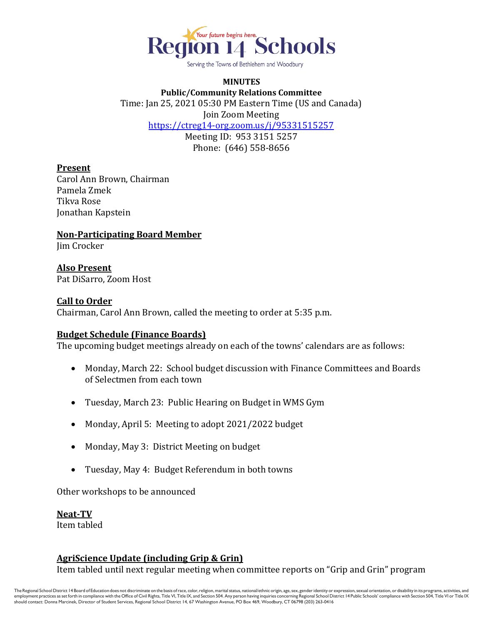

Serving the Towns of Bethlehem and Woodbury

### **MINUTES Public/Community Relations Committee** Time: Jan 25, 2021 05:30 PM Eastern Time (US and Canada) Join Zoom Meeting <https://ctreg14-org.zoom.us/j/95331515257> Meeting ID: 953 3151 5257 Phone: (646) 558-8656

#### **Present**

Carol Ann Brown, Chairman Pamela Zmek Tikva Rose Jonathan Kapstein

**Non-Participating Board Member**

Jim Crocker

# **Also Present**

Pat DiSarro, Zoom Host

#### **Call to Order**

Chairman, Carol Ann Brown, called the meeting to order at 5:35 p.m.

# **Budget Schedule (Finance Boards)**

The upcoming budget meetings already on each of the towns' calendars are as follows:

- Monday, March 22: School budget discussion with Finance Committees and Boards of Selectmen from each town
- Tuesday, March 23: Public Hearing on Budget in WMS Gym
- Monday, April 5: Meeting to adopt 2021/2022 budget
- Monday, May 3: District Meeting on budget
- Tuesday, May 4: Budget Referendum in both towns

Other workshops to be announced

**Neat-TV** Item tabled

# **AgriScience Update (including Grip & Grin)**

Item tabled until next regular meeting when committee reports on "Grip and Grin" program